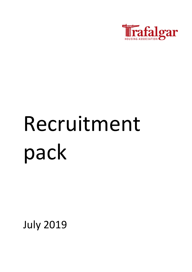

# Recruitment pack

July 2019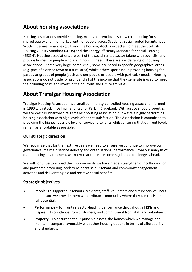## **About housing associations**

Housing associations provide housing, mainly for rent but also low cost housing for sale, shared equity and mid-market rent, for people across Scotland. Social rented tenants have Scottish Secure Tenancies (SST) and the housing stock is expected to meet the Scottish Housing Quality Standard (SHQS) and the Energy Efficiency Standard for Social Housing (EESSH). Housing associations are part of the social rented sector (along with councils) and provide homes for people who are in housing need. There are a wide range of housing associations – some very large, some small, some are based in specific geographical areas (e.g. part of a city or town or a rural area) whilst others specialise in providing housing for particular groups of people (such as older people or people with particular needs). Housing associations do not trade for profit and all of the income that they generate is used to meet their running costs and invest in their current and future activities.

# **About Trafalgar Housing Association**

Trafalgar Housing Association is a small community-controlled housing association formed in 1990 with stock in Dalmuir and Radnor Park in Clydebank. With just over 300 properties we are West Dunbartonshire's smallest housing association but we're a highly performing housing association with high levels of tenant satisfaction. The Association is committed to providing the highest possible level of service to tenants whilst ensuring that our rent levels remain as affordable as possible.

## **Our strategic direction**

We recognise that for the next five years we need to ensure we continue to improve our governance, maintain service delivery and organisational performance. From our analysis of our operating environment, we know that there are some significant challenges ahead.

We will continue to embed the improvements we have made, strengthen our collaboration and partnership working, seek to re-energise our tenant and community engagement activities and deliver tangible and positive social benefits.

#### **Strategic objectives**

- **People**: To support our tenants, residents, staff, volunteers and future service users and ensure we provide them with a vibrant community where they can realise their full potential.
- **Performance**:- To maintain sector-leading performance throughout all KPIs and inspire full confidence from customers, and commitment from staff and volunteers.
- **Property:** To ensure that our principle assets, the homes which we manage and maintain, compare favourably with other housing options in terms of affordability and standards.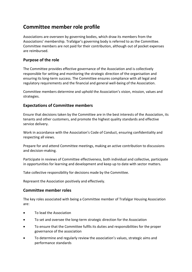## **Committee member role profile**

Associations are overseen by governing bodies, which draw its members from the Associations' membership. Trafalgar's governing body is referred to as the Committee. Committee members are not paid for their contribution, although out of pocket expenses are reimbursed.

### **Purpose of the role**

The Committee provides effective governance of the Association and is collectively responsible for setting and monitoring the strategic direction of the organisation and ensuring its long-term success. The Committee ensures compliance with all legal and regulatory requirements and the financial and general well-being of the Association.

Committee members determine and uphold the Association's vision, mission, values and strategies.

#### **Expectations of Committee members**

Ensure that decisions taken by the Committee are in the best interests of the Association, its tenants and other customers, and promote the highest quality standards and effective service delivery.

Work in accordance with the Association's Code of Conduct, ensuring confidentiality and respecting all views.

Prepare for and attend Committee meetings, making an active contribution to discussions and decision-making.

Participate in reviews of Committee effectiveness, both individual and collective, participate in opportunities for learning and development and keep up to date with sector matters.

Take collective responsibility for decisions made by the Committee.

Represent the Association positively and effectively.

#### **Committee member roles**

The key roles associated with being a Committee member of Trafalgar Housing Association are:

- To lead the Association
- To set and oversee the long-term strategic direction for the Association
- To ensure that the Committee fulfils its duties and responsibilities for the proper governance of the association
- To determine and regularly review the association's values, strategic aims and performance standards